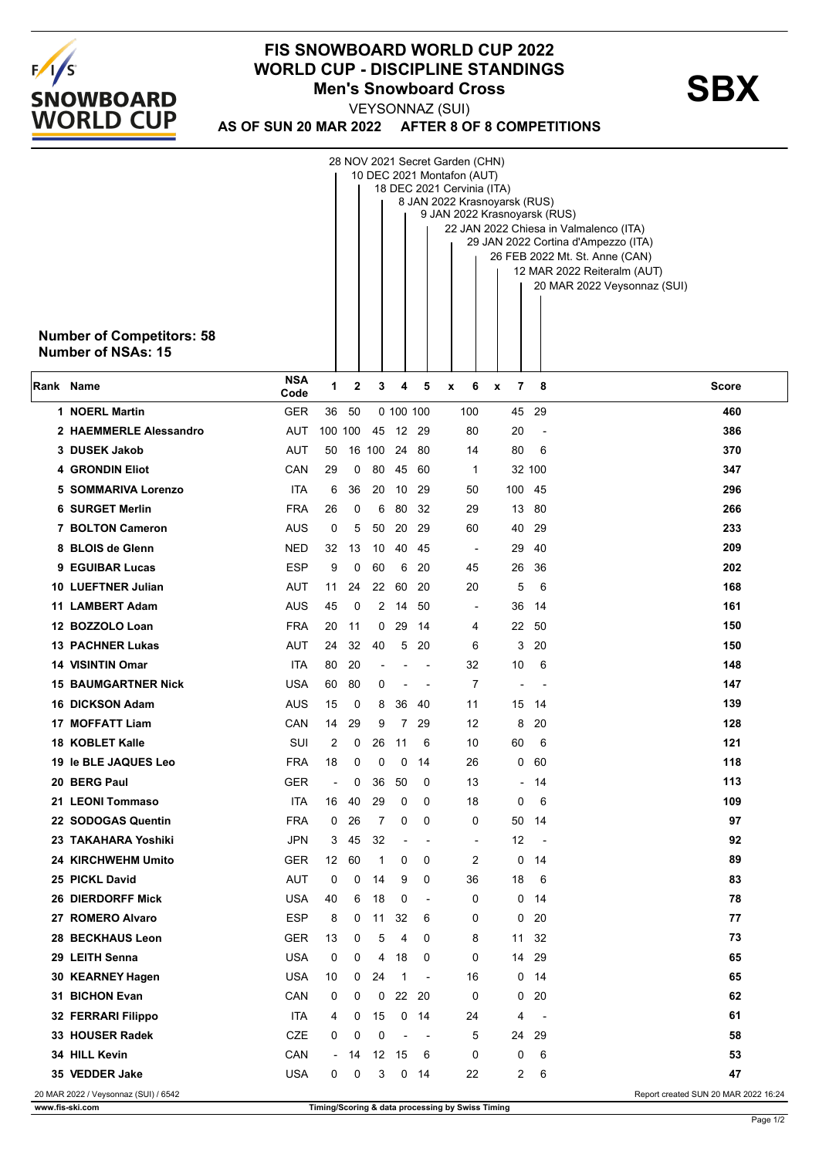

## **FIS SNOWBOARD WORLD CUP 2022 WORLD CUP - DISCIPLINE STANDINGS<br>Men's Snowboard Cross**<br>**SBX Men's Snowboard Cross**

**AS OF SUN 20 MAR 2022 AFTER 8 OF 8 COMPETITIONS** VEYSONNAZ (SUI)

|           | <b>Number of Competitors: 58</b><br>Number of NSAs: 15 |                    |                          |    |                |                |                          | 28 NOV 2021 Secret Garden (CHN)<br>10 DEC 2021 Montafon (AUT)<br>18 DEC 2021 Cervinia (ITA)<br>8 JAN 2022 Krasnoyarsk (RUS)<br>9 JAN 2022 Krasnoyarsk (RUS) |                          |                          | 22 JAN 2022 Chiesa in Valmalenco (ITA)<br>29 JAN 2022 Cortina d'Ampezzo (ITA)<br>26 FEB 2022 Mt. St. Anne (CAN)<br>12 MAR 2022 Reiteralm (AUT)<br>20 MAR 2022 Veysonnaz (SUI) |
|-----------|--------------------------------------------------------|--------------------|--------------------------|----|----------------|----------------|--------------------------|-------------------------------------------------------------------------------------------------------------------------------------------------------------|--------------------------|--------------------------|-------------------------------------------------------------------------------------------------------------------------------------------------------------------------------|
| Rank Name |                                                        | <b>NSA</b><br>Code | 1                        | 2  | 3              | 4              | 5                        | 6<br>x                                                                                                                                                      | 7<br>X                   | 8                        | <b>Score</b>                                                                                                                                                                  |
|           | 1 NOERL Martin                                         | <b>GER</b>         | 36                       | 50 |                | 0 100 100      |                          | 100                                                                                                                                                         |                          | 45 29                    | 460                                                                                                                                                                           |
|           | 2 HAEMMERLE Alessandro                                 | <b>AUT</b>         | 100 100                  |    |                | 45 12 29       |                          | 80                                                                                                                                                          | 20                       | $\overline{\phantom{a}}$ | 386                                                                                                                                                                           |
|           | 3 DUSEK Jakob                                          | AUT                | 50                       |    | 16 100 24 80   |                |                          | 14                                                                                                                                                          | 80                       | 6                        | 370                                                                                                                                                                           |
|           | <b>4 GRONDIN Eliot</b>                                 | CAN                | 29                       | 0  | 80             | 45             | -60                      | $\mathbf 1$                                                                                                                                                 |                          | 32 100                   | 347                                                                                                                                                                           |
|           | 5 SOMMARIVA Lorenzo                                    | ITA                | 6                        | 36 | 20             | 10             | 29                       | 50                                                                                                                                                          | 100 45                   |                          | 296                                                                                                                                                                           |
|           | <b>6 SURGET Merlin</b>                                 | <b>FRA</b>         | 26                       | 0  | 6              | 80             | -32                      | 29                                                                                                                                                          |                          | 13 80                    | 266                                                                                                                                                                           |
|           | 7 BOLTON Cameron                                       | AUS                | 0                        | 5  | 50             | 20             | 29                       | 60                                                                                                                                                          | 40                       | 29                       | 233                                                                                                                                                                           |
|           | 8 BLOIS de Glenn                                       | <b>NED</b>         | 32                       | 13 | 10             | 40             | 45                       | $\blacksquare$                                                                                                                                              | 29                       | 40                       | 209                                                                                                                                                                           |
|           | 9 EGUIBAR Lucas                                        | <b>ESP</b>         | 9                        | 0  | 60             | 6              | 20                       | 45                                                                                                                                                          | 26                       | 36                       | 202                                                                                                                                                                           |
|           | 10 LUEFTNER Julian                                     | AUT                | 11                       | 24 | 22             | 60             | -20                      | 20                                                                                                                                                          | 5                        | 6                        | 168                                                                                                                                                                           |
|           | 11 LAMBERT Adam                                        | AUS                | 45                       | 0  | $\overline{2}$ | 14             | -50                      |                                                                                                                                                             | 36                       | -14                      | 161                                                                                                                                                                           |
|           | 12 BOZZOLO Loan                                        | <b>FRA</b>         | 20                       | 11 | 0              | 29             | -14                      | 4                                                                                                                                                           | 22                       | -50                      | 150                                                                                                                                                                           |
|           | <b>13 PACHNER Lukas</b>                                | <b>AUT</b>         | 24                       | 32 | 40             | 5              | 20                       | 6                                                                                                                                                           | 3                        | 20                       | 150                                                                                                                                                                           |
|           | 14 VISINTIN Omar                                       | ITA                | 80                       | 20 |                |                | $\overline{\phantom{a}}$ | 32                                                                                                                                                          | 10                       | 6                        | 148                                                                                                                                                                           |
|           | <b>15 BAUMGARTNER Nick</b>                             | USA                | 60                       | 80 | 0              | $\overline{a}$ | $\blacksquare$           | $\overline{7}$                                                                                                                                              | $\overline{\phantom{a}}$ |                          | 147                                                                                                                                                                           |
|           | <b>16 DICKSON Adam</b>                                 | AUS                | 15                       | 0  | 8              | 36             | 40                       | 11                                                                                                                                                          | 15                       | - 14                     | 139                                                                                                                                                                           |
|           | <b>17 MOFFATT Liam</b>                                 | CAN                | 14                       | 29 | 9              | $\overline{7}$ | 29                       | 12                                                                                                                                                          | 8                        | 20                       | 128                                                                                                                                                                           |
|           | <b>18 KOBLET Kalle</b>                                 | SUI                | 2                        | 0  | 26             | 11             | 6                        | 10                                                                                                                                                          | 60                       | 6                        | 121                                                                                                                                                                           |
|           | 19 le BLE JAQUES Leo                                   | <b>FRA</b>         | 18                       | 0  | 0              | 0              | 14                       | 26                                                                                                                                                          | 0                        | 60                       | 118                                                                                                                                                                           |
|           | 20 BERG Paul                                           | <b>GER</b>         | $\overline{\phantom{a}}$ | 0  | 36             | 50             | 0                        | 13                                                                                                                                                          | $\overline{\phantom{a}}$ | - 14                     | 113                                                                                                                                                                           |
|           | 21 LEONI Tommaso                                       | ITA                | 16                       | 40 | 29             | 0              | 0                        | 18                                                                                                                                                          | 0                        | 6                        | 109                                                                                                                                                                           |
|           | 22 SODOGAS Quentin                                     | <b>FRA</b>         | 0                        | 26 | 7              | 0              | 0                        | 0                                                                                                                                                           | 50                       | 14                       | 97                                                                                                                                                                            |
|           | 23 TAKAHARA Yoshiki                                    | <b>JPN</b>         | 3                        | 45 | 32             |                | $\overline{\phantom{a}}$ | $\overline{\phantom{a}}$                                                                                                                                    | 12                       | $\overline{\phantom{a}}$ | 92                                                                                                                                                                            |
|           | 24 KIRCHWEHM Umito                                     | <b>GER</b>         | 12 <sup>2</sup>          | 60 | $\mathbf{1}$   | 0              | 0                        | 2                                                                                                                                                           | 0                        | 14                       | 89                                                                                                                                                                            |
|           | 25 PICKL David                                         | <b>AUT</b>         | 0                        | 0  | 14             | 9              | 0                        | 36                                                                                                                                                          | 18                       | 6                        | 83                                                                                                                                                                            |
|           | <b>26 DIERDORFF Mick</b>                               | USA                | 40                       | 6  | 18             | 0              | $\blacksquare$           | 0                                                                                                                                                           | 0                        | 14                       | 78                                                                                                                                                                            |
|           | 27 ROMERO Alvaro                                       | <b>ESP</b>         | 8                        | 0  | 11             | 32             | 6                        | 0                                                                                                                                                           | 0                        | 20                       | 77                                                                                                                                                                            |
|           | 28 BECKHAUS Leon                                       | <b>GER</b>         | 13                       | 0  | 5              | 4              | 0                        | 8                                                                                                                                                           | 11                       | 32                       | 73                                                                                                                                                                            |
|           | 29 LEITH Senna                                         | <b>USA</b>         | 0                        | 0  | 4              | 18             | 0                        | 0                                                                                                                                                           | 14                       | 29                       | 65                                                                                                                                                                            |
|           | 30 KEARNEY Hagen                                       | <b>USA</b>         | 10                       | 0  | 24             | -1             | $\overline{\phantom{a}}$ | 16                                                                                                                                                          | 0                        | 14                       | 65                                                                                                                                                                            |
|           | 31 BICHON Evan                                         | CAN                | 0                        | 0  | 0              | 22             | 20                       | 0                                                                                                                                                           | 0                        | 20                       | 62                                                                                                                                                                            |
|           | 32 FERRARI Filippo                                     | ITA                | 4                        | 0  | 15             | 0              | 14                       | 24                                                                                                                                                          | 4                        | $\overline{\phantom{a}}$ | 61                                                                                                                                                                            |
|           | 33 HOUSER Radek                                        | CZE                | 0                        | 0  | 0              | $\overline{a}$ | $\overline{\phantom{a}}$ | 5                                                                                                                                                           | 24                       | 29                       | 58                                                                                                                                                                            |
|           | 34 HILL Kevin                                          | CAN                | $\sim$                   | 14 |                | 12 15          | 6                        | 0                                                                                                                                                           | 0                        | 6                        | 53                                                                                                                                                                            |
|           | 35 VEDDER Jake                                         | <b>USA</b>         | 0                        | 0  | 3              | 0              | 14                       | 22                                                                                                                                                          | 2                        | 6                        | 47                                                                                                                                                                            |
|           | 20 MAR 2022 / Veysonnaz (SUI) / 6542                   |                    |                          |    |                |                |                          |                                                                                                                                                             |                          |                          | Report created SUN 20 MAR 2022 16:24                                                                                                                                          |